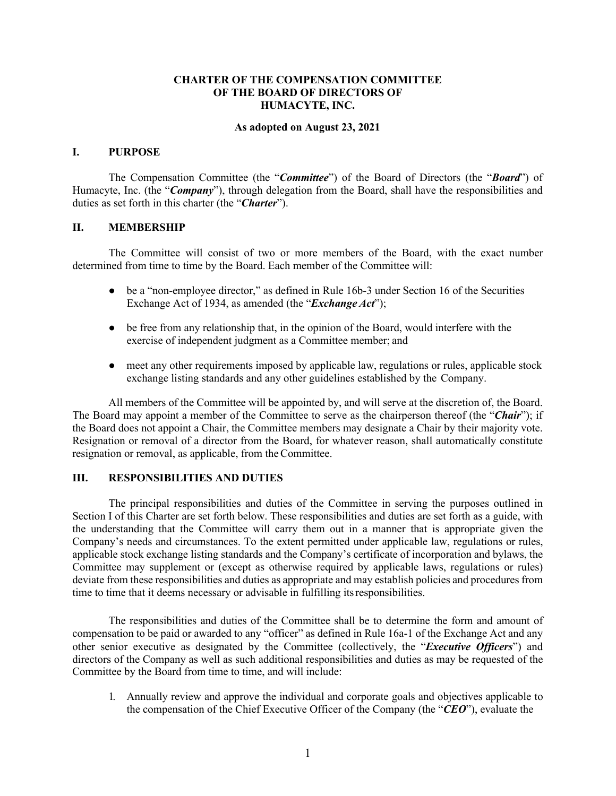#### **CHARTER OF THE COMPENSATION COMMITTEE OF THE BOARD OF DIRECTORS OF HUMACYTE, INC.**

#### **As adopted on August 23, 2021**

#### **I. PURPOSE**

The Compensation Committee (the "*Committee*") of the Board of Directors (the "*Board*") of Humacyte, Inc. (the "*Company*"), through delegation from the Board, shall have the responsibilities and duties as set forth in this charter (the "*Charter*").

### **II. MEMBERSHIP**

The Committee will consist of two or more members of the Board, with the exact number determined from time to time by the Board. Each member of the Committee will:

- be a "non-employee director," as defined in Rule 16b-3 under Section 16 of the Securities Exchange Act of 1934, as amended (the "*Exchange Act*");
- be free from any relationship that, in the opinion of the Board, would interfere with the exercise of independent judgment as a Committee member; and
- meet any other requirements imposed by applicable law, regulations or rules, applicable stock exchange listing standards and any other guidelines established by the Company.

All members of the Committee will be appointed by, and will serve at the discretion of, the Board. The Board may appoint a member of the Committee to serve as the chairperson thereof (the "*Chair*"); if the Board does not appoint a Chair, the Committee members may designate a Chair by their majority vote. Resignation or removal of a director from the Board, for whatever reason, shall automatically constitute resignation or removal, as applicable, from theCommittee.

### **III. RESPONSIBILITIES AND DUTIES**

The principal responsibilities and duties of the Committee in serving the purposes outlined in Section I of this Charter are set forth below. These responsibilities and duties are set forth as a guide, with the understanding that the Committee will carry them out in a manner that is appropriate given the Company's needs and circumstances. To the extent permitted under applicable law, regulations or rules, applicable stock exchange listing standards and the Company's certificate of incorporation and bylaws, the Committee may supplement or (except as otherwise required by applicable laws, regulations or rules) deviate from these responsibilities and duties as appropriate and may establish policies and procedures from time to time that it deems necessary or advisable in fulfilling itsresponsibilities.

The responsibilities and duties of the Committee shall be to determine the form and amount of compensation to be paid or awarded to any "officer" as defined in Rule 16a-1 of the Exchange Act and any other senior executive as designated by the Committee (collectively, the "*Executive Officers*") and directors of the Company as well as such additional responsibilities and duties as may be requested of the Committee by the Board from time to time, and will include:

1. Annually review and approve the individual and corporate goals and objectives applicable to the compensation of the Chief Executive Officer of the Company (the "*CEO*"), evaluate the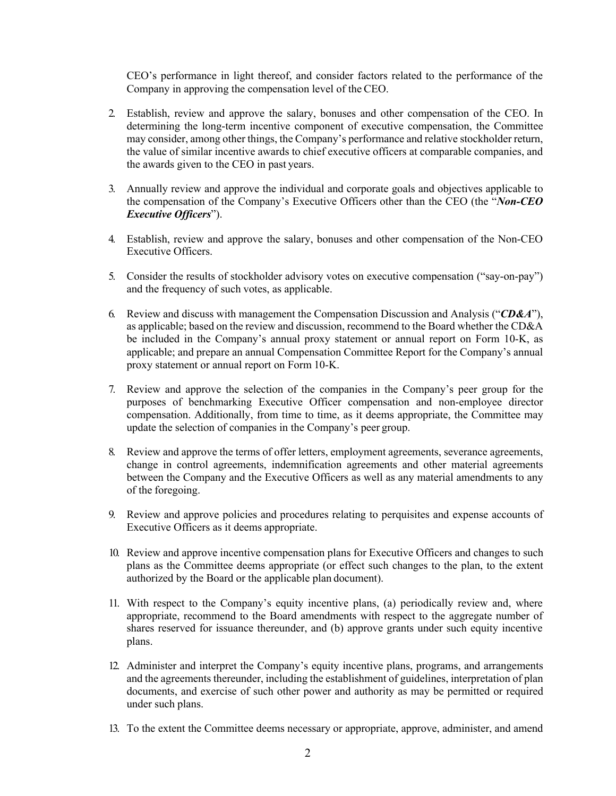CEO's performance in light thereof, and consider factors related to the performance of the Company in approving the compensation level of the CEO.

- 2. Establish, review and approve the salary, bonuses and other compensation of the CEO. In determining the long-term incentive component of executive compensation, the Committee may consider, among other things, the Company's performance and relative stockholder return, the value of similar incentive awards to chief executive officers at comparable companies, and the awards given to the CEO in past years.
- 3. Annually review and approve the individual and corporate goals and objectives applicable to the compensation of the Company's Executive Officers other than the CEO (the "*Non-CEO Executive Officers*").
- 4. Establish, review and approve the salary, bonuses and other compensation of the Non-CEO Executive Officers.
- 5. Consider the results of stockholder advisory votes on executive compensation ("say-on-pay") and the frequency of such votes, as applicable.
- 6. Review and discuss with management the Compensation Discussion and Analysis ("*CD&A*"), as applicable; based on the review and discussion, recommend to the Board whether the CD&A be included in the Company's annual proxy statement or annual report on Form 10-K, as applicable; and prepare an annual Compensation Committee Report for the Company's annual proxy statement or annual report on Form 10-K.
- 7. Review and approve the selection of the companies in the Company's peer group for the purposes of benchmarking Executive Officer compensation and non-employee director compensation. Additionally, from time to time, as it deems appropriate, the Committee may update the selection of companies in the Company's peer group.
- 8. Review and approve the terms of offer letters, employment agreements, severance agreements, change in control agreements, indemnification agreements and other material agreements between the Company and the Executive Officers as well as any material amendments to any of the foregoing.
- 9. Review and approve policies and procedures relating to perquisites and expense accounts of Executive Officers as it deems appropriate.
- 10. Review and approve incentive compensation plans for Executive Officers and changes to such plans as the Committee deems appropriate (or effect such changes to the plan, to the extent authorized by the Board or the applicable plan document).
- 11. With respect to the Company's equity incentive plans, (a) periodically review and, where appropriate, recommend to the Board amendments with respect to the aggregate number of shares reserved for issuance thereunder, and (b) approve grants under such equity incentive plans.
- 12. Administer and interpret the Company's equity incentive plans, programs, and arrangements and the agreements thereunder, including the establishment of guidelines, interpretation of plan documents, and exercise of such other power and authority as may be permitted or required under such plans.
- 13. To the extent the Committee deems necessary or appropriate, approve, administer, and amend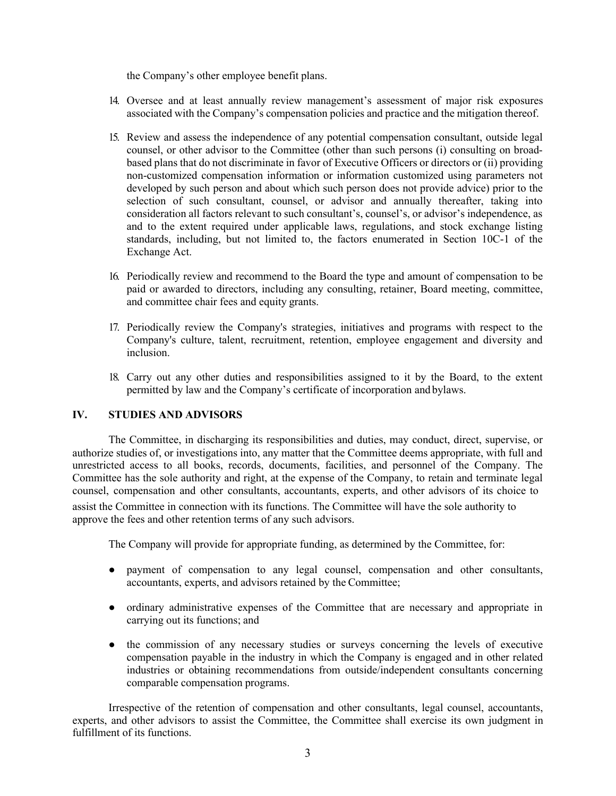the Company's other employee benefit plans.

- 14. Oversee and at least annually review management's assessment of major risk exposures associated with the Company's compensation policies and practice and the mitigation thereof.
- 15. Review and assess the independence of any potential compensation consultant, outside legal counsel, or other advisor to the Committee (other than such persons (i) consulting on broadbased plans that do not discriminate in favor of Executive Officers or directors or (ii) providing non-customized compensation information or information customized using parameters not developed by such person and about which such person does not provide advice) prior to the selection of such consultant, counsel, or advisor and annually thereafter, taking into consideration all factors relevant to such consultant's, counsel's, or advisor's independence, as and to the extent required under applicable laws, regulations, and stock exchange listing standards, including, but not limited to, the factors enumerated in Section 10C-1 of the Exchange Act.
- 16. Periodically review and recommend to the Board the type and amount of compensation to be paid or awarded to directors, including any consulting, retainer, Board meeting, committee, and committee chair fees and equity grants.
- 17. Periodically review the Company's strategies, initiatives and programs with respect to the Company's culture, talent, recruitment, retention, employee engagement and diversity and inclusion.
- 18. Carry out any other duties and responsibilities assigned to it by the Board, to the extent permitted by law and the Company's certificate of incorporation and bylaws.

## **IV. STUDIES AND ADVISORS**

The Committee, in discharging its responsibilities and duties, may conduct, direct, supervise, or authorize studies of, or investigations into, any matter that the Committee deems appropriate, with full and unrestricted access to all books, records, documents, facilities, and personnel of the Company. The Committee has the sole authority and right, at the expense of the Company, to retain and terminate legal counsel, compensation and other consultants, accountants, experts, and other advisors of its choice to assist the Committee in connection with its functions. The Committee will have the sole authority to approve the fees and other retention terms of any such advisors.

The Company will provide for appropriate funding, as determined by the Committee, for:

- payment of compensation to any legal counsel, compensation and other consultants, accountants, experts, and advisors retained by the Committee;
- ordinary administrative expenses of the Committee that are necessary and appropriate in carrying out its functions; and
- the commission of any necessary studies or surveys concerning the levels of executive compensation payable in the industry in which the Company is engaged and in other related industries or obtaining recommendations from outside/independent consultants concerning comparable compensation programs.

Irrespective of the retention of compensation and other consultants, legal counsel, accountants, experts, and other advisors to assist the Committee, the Committee shall exercise its own judgment in fulfillment of its functions.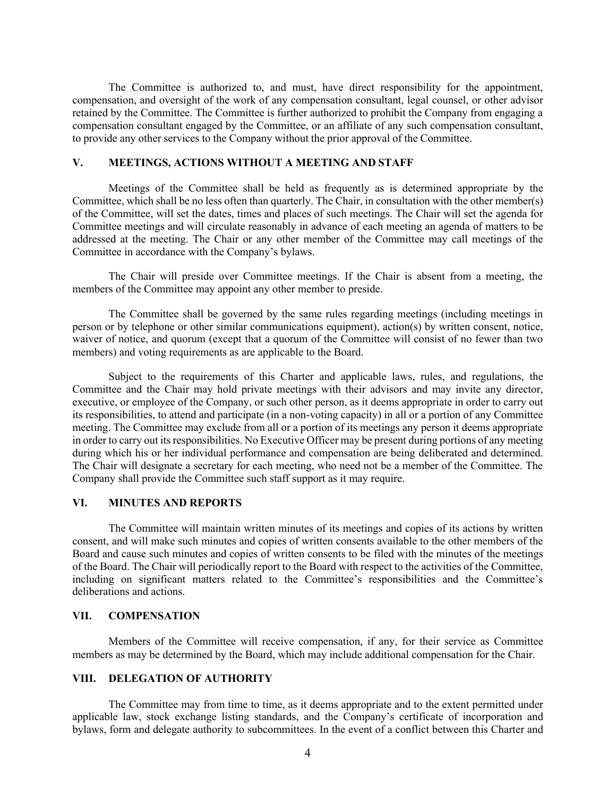The Committee is authorized to, and must, have direct responsibility for the appointment, compensation, and oversight of the work of any compensation consultant, legal counsel, or other advisor retained by the Committee. The Committee is further authorized to prohibit the Company from engaging a compensation consultant engaged by the Committee, or an affiliate of any such compensation consultant, to provide any other services to the Company without the prior approval of the Committee.

### **V. MEETINGS, ACTIONS WITHOUT A MEETING AND STAFF**

Meetings of the Committee shall be held as frequently as is determined appropriate by the Committee, which shall be no less often than quarterly. The Chair, in consultation with the other member(s) of the Committee, will set the dates, times and places of such meetings. The Chair will set the agenda for Committee meetings and will circulate reasonably in advance of each meeting an agenda of matters to be addressed at the meeting. The Chair or any other member of the Committee may call meetings of the Committee in accordance with the Company's bylaws.

The Chair will preside over Committee meetings. If the Chair is absent from a meeting, the members of the Committee may appoint any other member to preside.

The Committee shall be governed by the same rules regarding meetings (including meetings in person or by telephone or other similar communications equipment), action(s) by written consent, notice, waiver of notice, and quorum (except that a quorum of the Committee will consist of no fewer than two members) and voting requirements as are applicable to the Board.

Subject to the requirements of this Charter and applicable laws, rules, and regulations, the Committee and the Chair may hold private meetings with their advisors and may invite any director, executive, or employee of the Company, or such other person, as it deems appropriate in order to carry out its responsibilities, to attend and participate (in a non-voting capacity) in all or a portion of any Committee meeting. The Committee may exclude from all or a portion of its meetings any person it deems appropriate in order to carry out its responsibilities. No Executive Officer may be present during portions of any meeting during which his or her individual performance and compensation are being deliberated and determined. The Chair will designate a secretary for each meeting, who need not be a member of the Committee. The Company shall provide the Committee such staff support as it may require.

#### **VI. MINUTES AND REPORTS**

The Committee will maintain written minutes of its meetings and copies of its actions by written consent, and will make such minutes and copies of written consents available to the other members of the Board and cause such minutes and copies of written consents to be filed with the minutes of the meetings of the Board. The Chair will periodically report to the Board with respect to the activities of the Committee, including on significant matters related to the Committee's responsibilities and the Committee's deliberations and actions.

### **VII. COMPENSATION**

Members of the Committee will receive compensation, if any, for their service as Committee members as may be determined by the Board, which may include additional compensation for the Chair.

### **VIII. DELEGATION OF AUTHORITY**

The Committee may from time to time, as it deems appropriate and to the extent permitted under applicable law, stock exchange listing standards, and the Company's certificate of incorporation and bylaws, form and delegate authority to subcommittees. In the event of a conflict between this Charter and